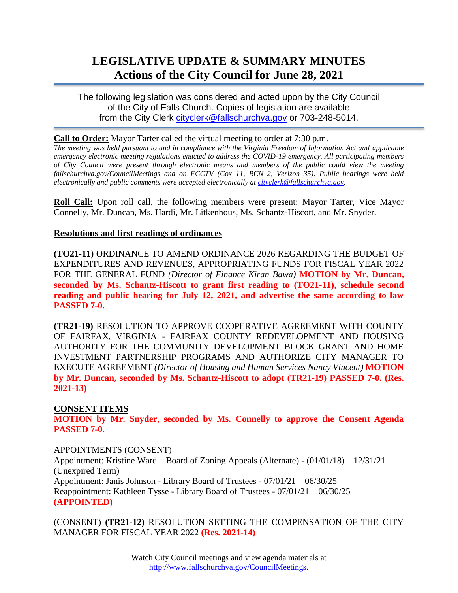# **LEGISLATIVE UPDATE & SUMMARY MINUTES Actions of the City Council for June 28, 2021**

The following legislation was considered and acted upon by the City Council of the City of Falls Church. Copies of legislation are available from the City Clerk [cityclerk@fallschurchva.gov](mailto:cityclerk@fallschurchva.gov) or 703-248-5014.

### **Call to Order:** Mayor Tarter called the virtual meeting to order at 7:30 p.m.

*The meeting was held pursuant to and in compliance with the Virginia Freedom of Information Act and applicable emergency electronic meeting regulations enacted to address the COVID-19 emergency. All participating members of City Council were present through electronic means and members of the public could view the meeting fallschurchva.gov/CouncilMeetings and on FCCTV (Cox 11, RCN 2, Verizon 35). Public hearings were held electronically and public comments were accepted electronically a[t cityclerk@fallschurchva.gov.](mailto:cityclerk@fallschurchva.gov)*

**Roll Call:** Upon roll call, the following members were present: Mayor Tarter, Vice Mayor Connelly, Mr. Duncan, Ms. Hardi, Mr. Litkenhous, Ms. Schantz-Hiscott, and Mr. Snyder.

### **Resolutions and first readings of ordinances**

**(TO21-11)** ORDINANCE TO AMEND ORDINANCE 2026 REGARDING THE BUDGET OF EXPENDITURES AND REVENUES, APPROPRIATING FUNDS FOR FISCAL YEAR 2022 FOR THE GENERAL FUND *(Director of Finance Kiran Bawa)* **MOTION by Mr. Duncan, seconded by Ms. Schantz-Hiscott to grant first reading to (TO21-11), schedule second reading and public hearing for July 12, 2021, and advertise the same according to law PASSED 7-0.**

**(TR21-19)** RESOLUTION TO APPROVE COOPERATIVE AGREEMENT WITH COUNTY OF FAIRFAX, VIRGINIA - FAIRFAX COUNTY REDEVELOPMENT AND HOUSING AUTHORITY FOR THE COMMUNITY DEVELOPMENT BLOCK GRANT AND HOME INVESTMENT PARTNERSHIP PROGRAMS AND AUTHORIZE CITY MANAGER TO EXECUTE AGREEMENT *(Director of Housing and Human Services Nancy Vincent)* **MOTION by Mr. Duncan, seconded by Ms. Schantz-Hiscott to adopt (TR21-19) PASSED 7-0. (Res. 2021-13)**

## **CONSENT ITEMS**

**MOTION by Mr. Snyder, seconded by Ms. Connelly to approve the Consent Agenda PASSED 7-0.**

APPOINTMENTS (CONSENT)

Appointment: Kristine Ward – Board of Zoning Appeals (Alternate) - (01/01/18) – 12/31/21 (Unexpired Term) Appointment: Janis Johnson - Library Board of Trustees - 07/01/21 – 06/30/25 Reappointment: Kathleen Tysse - Library Board of Trustees - 07/01/21 – 06/30/25 **(APPOINTED)**

(CONSENT) **(TR21-12)** RESOLUTION SETTING THE COMPENSATION OF THE CITY MANAGER FOR FISCAL YEAR 2022 **(Res. 2021-14)**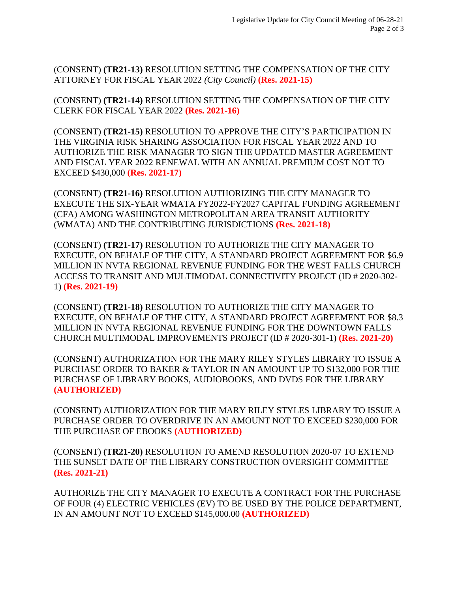(CONSENT) **(TR21-13)** RESOLUTION SETTING THE COMPENSATION OF THE CITY ATTORNEY FOR FISCAL YEAR 2022 *(City Council)* **(Res. 2021-15)**

(CONSENT) **(TR21-14)** RESOLUTION SETTING THE COMPENSATION OF THE CITY CLERK FOR FISCAL YEAR 2022 **(Res. 2021-16)**

(CONSENT) **(TR21-15)** RESOLUTION TO APPROVE THE CITY'S PARTICIPATION IN THE VIRGINIA RISK SHARING ASSOCIATION FOR FISCAL YEAR 2022 AND TO AUTHORIZE THE RISK MANAGER TO SIGN THE UPDATED MASTER AGREEMENT AND FISCAL YEAR 2022 RENEWAL WITH AN ANNUAL PREMIUM COST NOT TO EXCEED \$430,000 **(Res. 2021-17)**

(CONSENT) **(TR21-16)** RESOLUTION AUTHORIZING THE CITY MANAGER TO EXECUTE THE SIX-YEAR WMATA FY2022-FY2027 CAPITAL FUNDING AGREEMENT (CFA) AMONG WASHINGTON METROPOLITAN AREA TRANSIT AUTHORITY (WMATA) AND THE CONTRIBUTING JURISDICTIONS **(Res. 2021-18)**

(CONSENT) **(TR21-17)** RESOLUTION TO AUTHORIZE THE CITY MANAGER TO EXECUTE, ON BEHALF OF THE CITY, A STANDARD PROJECT AGREEMENT FOR \$6.9 MILLION IN NVTA REGIONAL REVENUE FUNDING FOR THE WEST FALLS CHURCH ACCESS TO TRANSIT AND MULTIMODAL CONNECTIVITY PROJECT (ID # 2020-302- 1) **(Res. 2021-19)**

(CONSENT) **(TR21-18)** RESOLUTION TO AUTHORIZE THE CITY MANAGER TO EXECUTE, ON BEHALF OF THE CITY, A STANDARD PROJECT AGREEMENT FOR \$8.3 MILLION IN NVTA REGIONAL REVENUE FUNDING FOR THE DOWNTOWN FALLS CHURCH MULTIMODAL IMPROVEMENTS PROJECT (ID # 2020-301-1) **(Res. 2021-20)**

(CONSENT) AUTHORIZATION FOR THE MARY RILEY STYLES LIBRARY TO ISSUE A PURCHASE ORDER TO BAKER & TAYLOR IN AN AMOUNT UP TO \$132,000 FOR THE PURCHASE OF LIBRARY BOOKS, AUDIOBOOKS, AND DVDS FOR THE LIBRARY **(AUTHORIZED)**

(CONSENT) AUTHORIZATION FOR THE MARY RILEY STYLES LIBRARY TO ISSUE A PURCHASE ORDER TO OVERDRIVE IN AN AMOUNT NOT TO EXCEED \$230,000 FOR THE PURCHASE OF EBOOKS **(AUTHORIZED)**

(CONSENT) **(TR21-20)** RESOLUTION TO AMEND RESOLUTION 2020-07 TO EXTEND THE SUNSET DATE OF THE LIBRARY CONSTRUCTION OVERSIGHT COMMITTEE **(Res. 2021-21)**

AUTHORIZE THE CITY MANAGER TO EXECUTE A CONTRACT FOR THE PURCHASE OF FOUR (4) ELECTRIC VEHICLES (EV) TO BE USED BY THE POLICE DEPARTMENT, IN AN AMOUNT NOT TO EXCEED \$145,000.00 **(AUTHORIZED)**